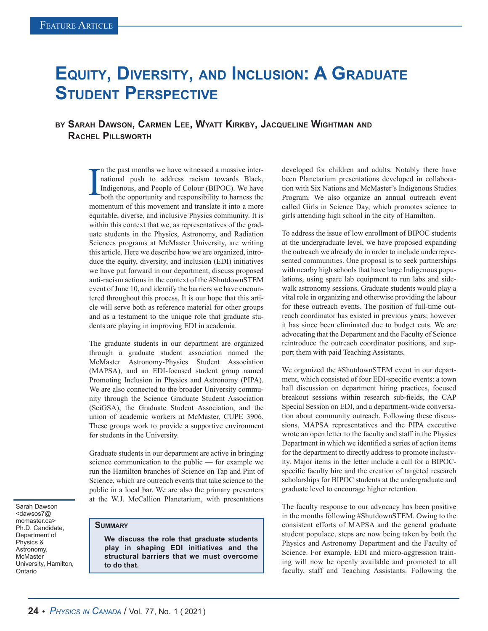## **Equity, Diversity, and Inclusion: A Graduate Student Perspective**

## **by Sarah Dawson, Carmen Lee, Wyatt Kirkby, Jacqueline Wightman and Rachel Pillsworth**

I n the past months we have witnessed a massive international push to address racism towards Black, Indigenous, and People of Colour (BIPOC). We have both the opportunity and responsibility to harness the momentum of this movement and translate it into a more equitable, diverse, and inclusive Physics community. It is within this context that we, as representatives of the graduate students in the Physics, Astronomy, and Radiation Sciences programs at McMaster University, are writing this article. Here we describe how we are organized, introduce the equity, diversity, and inclusion (EDI) initiatives we have put forward in our department, discuss proposed anti-racism actions in the context of the #ShutdownSTEM event of June 10, and identify the barriers we have encountered throughout this process. It is our hope that this article will serve both as reference material for other groups and as a testament to the unique role that graduate students are playing in improving EDI in academia.

The graduate students in our department are organized through a graduate student association named the McMaster Astronomy-Physics Student Association (MAPSA), and an EDI-focused student group named Promoting Inclusion in Physics and Astronomy (PIPA). We are also connected to the broader University community through the Science Graduate Student Association (SciGSA), the Graduate Student Association, and the union of academic workers at McMaster, CUPE 3906. These groups work to provide a supportive environment for students in the University.

Graduate students in our department are active in bringing science communication to the public — for example we run the Hamilton branches of Science on Tap and Pint of Science, which are outreach events that take science to the public in a local bar. We are also the primary presenters at the W.J. McCallion Planetarium, with presentations

Sarah Dawson <dawsos7@ mcmaster.ca> Ph.D. Candidate, Department of Physics & Astronomy, **McMaster** University, Hamilton, Ontario

## **Summary**

**We discuss the role that graduate students play in shaping EDI initiatives and the structural barriers that we must overcome to do that.**

developed for children and adults. Notably there have been Planetarium presentations developed in collaboration with Six Nations and McMaster's Indigenous Studies Program. We also organize an annual outreach event called Girls in Science Day, which promotes science to girls attending high school in the city of Hamilton.

To address the issue of low enrollment of BIPOC students at the undergraduate level, we have proposed expanding the outreach we already do in order to include underrepresented communities. One proposal is to seek partnerships with nearby high schools that have large Indigenous populations, using spare lab equipment to run labs and sidewalk astronomy sessions. Graduate students would play a vital role in organizing and otherwise providing the labour for these outreach events. The position of full-time outreach coordinator has existed in previous years; however it has since been eliminated due to budget cuts. We are advocating that the Department and the Faculty of Science reintroduce the outreach coordinator positions, and support them with paid Teaching Assistants.

We organized the #ShutdownSTEM event in our department, which consisted of four EDI-specific events: a town hall discussion on department hiring practices, focused breakout sessions within research sub-fields, the CAP Special Session on EDI, and a department-wide conversation about community outreach. Following these discussions, MAPSA representatives and the PIPA executive wrote an open letter to the faculty and staff in the Physics Department in which we identified a series of action items for the department to directly address to promote inclusivity. Major items in the letter include a call for a BIPOCspecific faculty hire and the creation of targeted research scholarships for BIPOC students at the undergraduate and graduate level to encourage higher retention.

The faculty response to our advocacy has been positive in the months following #ShutdownSTEM. Owing to the consistent efforts of MAPSA and the general graduate student populace, steps are now being taken by both the Physics and Astronomy Department and the Faculty of Science. For example, EDI and micro-aggression training will now be openly available and promoted to all faculty, staff and Teaching Assistants. Following the